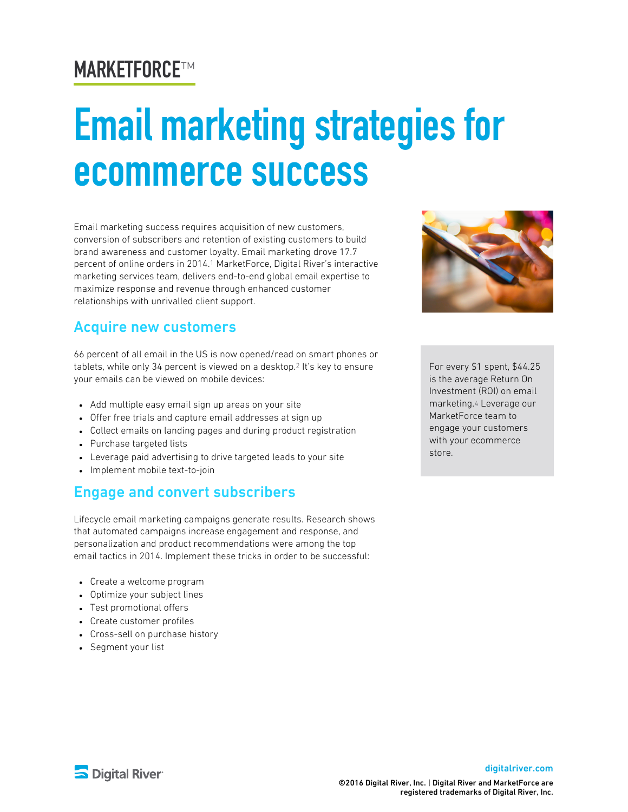# MARKETFORCE ™

# **Email marketing strategies for** ecommerce success

Email marketing success requires acquisition of new customers, conversion of subscribers and retention of existing customers to build brand awareness and customer loyalty. Email marketing drove 17.7 percent of online orders in 2014. MarketForce, Digital River's interactive 1 marketing services team, delivers end-to-end global email expertise to maximize response and revenue through enhanced customer relationships with unrivalled client support.

## Acquire new customers

66 percent of all email in the US is now opened/read on smart phones or tablets, while only 34 percent is viewed on a desktop.<sup>2</sup> It's key to ensure your emails can be viewed on mobile devices:

- Add multiple easy email sign up areas on your site
- Offer free trials and capture email addresses at sign up
- Collect emails on landing pages and during product registration
- Purchase targeted lists
- Leverage paid advertising to drive targeted leads to your site
- Implement mobile text-to-join

#### Engage and convert subscribers

Lifecycle email marketing campaigns generate results. Research shows that automated campaigns increase engagement and response, and personalization and product recommendations were among the top email tactics in 2014. Implement these tricks in order to be successful:

- Create a welcome program
- Optimize your subject lines
- Test promotional offers
- Create customer profiles
- Cross-sell on purchase history
- Segment your list



For every \$1 spent, \$44.25 is the average Return On Investment (ROI) on email marketing.4 Leverage our MarketForce team to engage your customers with your ecommerce store.



#### [digitalriver.com](http://digitalriver.com/)